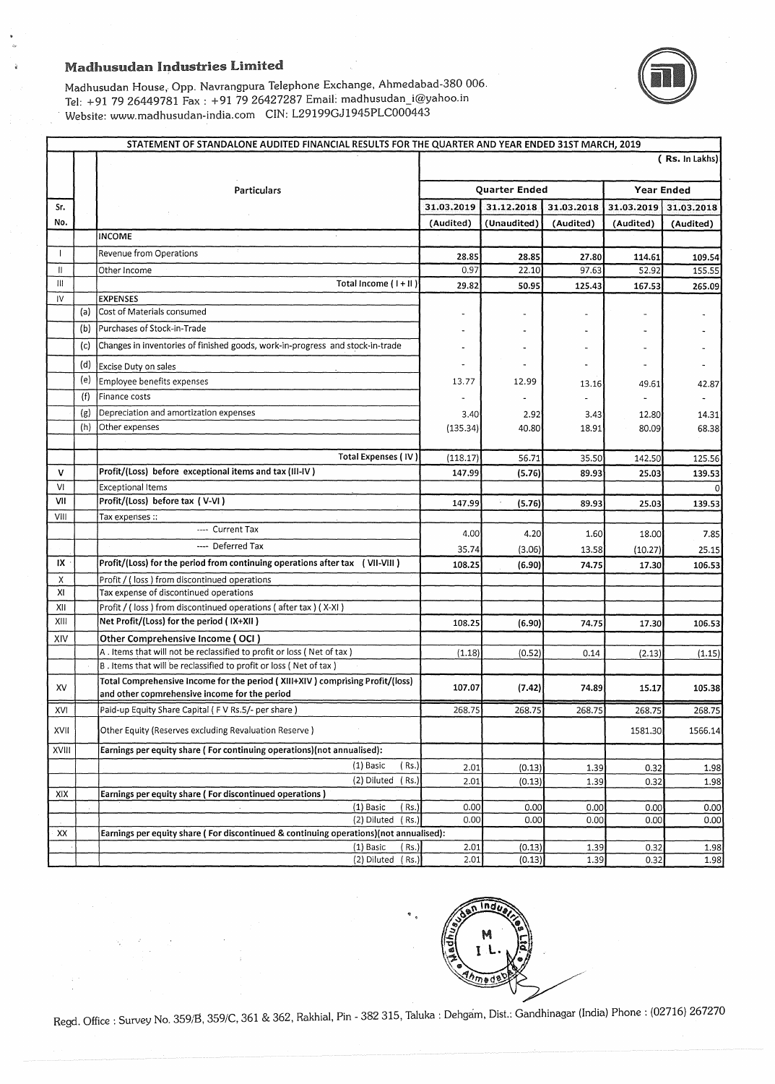$\lambda$ 

Madhusudan House, Opp. Navrangpura Telephone Exchange, Ahmedabad-380 006. Tel: +91 79 26449781 Fax : +91 79 26427287 Email: madhusudan\_i@yahoo.in Website: www.madhusudan-india.com CIN: L29199GJ1945PLC000443



|       |     | STATEMENT OF STANDALONE AUDITED FINANCIAL RESULTS FOR THE QUARTER AND YEAR ENDED 31ST MARCH, 2019                              |               |             |            |                   |                |
|-------|-----|--------------------------------------------------------------------------------------------------------------------------------|---------------|-------------|------------|-------------------|----------------|
|       |     |                                                                                                                                |               |             |            |                   | (Rs. In Lakhs) |
|       |     | <b>Particulars</b>                                                                                                             | Quarter Ended |             |            | <b>Year Ended</b> |                |
| Sr.   |     |                                                                                                                                | 31.03.2019    | 31.12.2018  | 31.03.2018 | 31.03.2019        | 31.03.2018     |
| No.   |     |                                                                                                                                | (Audited)     | (Unaudited) | (Audited)  | (Audited)         | (Audited)      |
|       |     | <b>INCOME</b><br>$\epsilon$                                                                                                    |               |             |            |                   |                |
|       |     | Revenue from Operations                                                                                                        | 28.85         | 28.85       | 27.80      | 114.61            | 109.54         |
| II    |     | Other Income                                                                                                                   | 0.97          | 22.10       | 97.63      | 52.92             | 155.55         |
| Ш     |     | Total Income (I + II)                                                                                                          | 29.82         | 50.95       | 125.43     | 167.53            | 265.09         |
| IV    |     | <b>EXPENSES</b>                                                                                                                |               |             |            |                   |                |
|       | (a) | Cost of Materials consumed                                                                                                     |               |             |            |                   |                |
|       | (b) | Purchases of Stock-in-Trade                                                                                                    |               |             |            |                   |                |
|       | (c) | Changes in inventories of finished goods, work-in-progress and stock-in-trade                                                  |               |             |            |                   |                |
|       | (d) | Excise Duty on sales                                                                                                           |               |             |            |                   |                |
|       | (e) | Employee benefits expenses                                                                                                     | 13.77         | 12.99       | 13.16      | 49.61             | 42.87          |
|       | (f) | Finance costs                                                                                                                  |               |             |            |                   |                |
|       | (g) | Depreciation and amortization expenses                                                                                         | 3.40          | 2.92        | 3.43       | 12.80             | 14.31          |
|       | (h) | Other expenses                                                                                                                 | (135.34)      | 40.80       | 18.91      | 80.09             | 68.38          |
|       |     |                                                                                                                                |               |             |            |                   |                |
|       |     | Total Expenses (IV)                                                                                                            | (118.17)      | 56.71       | 35.50      | 142.50            | 125.56         |
| v     |     | Profit/(Loss) before exceptional items and tax (III-IV)                                                                        | 147.99        | (5.76)      | 89.93      | 25.03             | 139.53         |
| VI    |     | <b>Exceptional Items</b>                                                                                                       |               |             |            |                   |                |
| VII   |     | Profit/(Loss) before tax (V-VI)                                                                                                | 147.99        | (5.76)      | 89.93      | 25.03             | 139.53         |
| VIII  |     | Tax expenses ::                                                                                                                |               |             |            |                   |                |
|       |     | ---- Current Tax                                                                                                               | 4.00          | 4.20        | 1.60       | 18.00             | 7.85           |
|       |     | ---- Deferred Tax                                                                                                              | 35.74         | (3.06)      | 13.58      | (10.27)           | 25.15          |
| IX    |     | Profit/(Loss) for the period from continuing operations after tax (VII-VIII)                                                   | 108.25        | (6.90)      | 74.75      | 17.30             | 106.53         |
| x     |     | Profit / (loss) from discontinued operations                                                                                   |               |             |            |                   |                |
| XI    |     | Tax expense of discontinued operations                                                                                         |               |             |            |                   |                |
| XII   |     | Profit / (loss) from discontinued operations (after tax) (X-XI)                                                                |               |             |            |                   |                |
| XIII  |     | Net Profit/(Loss) for the period (IX+XII)                                                                                      | 108.25        | (6.90)      | 74.75      | 17.30             | 106.53         |
| XIV   |     | Other Comprehensive Income (OCI)                                                                                               |               |             |            |                   |                |
|       |     | A. Items that will not be reclassified to profit or loss (Net of tax)                                                          | (1.18)        | (0.52)      | 0.14       | (2.13)            | (1.15)         |
|       |     | B. Items that will be reclassified to profit or loss (Net of tax)                                                              |               |             |            |                   |                |
| XV    |     | Total Comprehensive Income for the period (XIII+XIV) comprising Profit/(loss)<br>and other copmrehensive income for the period | 107.07        | (7.42)      | 74.89      | 15.17             | 105.38         |
| XVI   |     | Paid-up Equity Share Capital (FV Rs.5/- per share)                                                                             | 268.75        | 268.75      | 268.75     | 268.75            | 268.75         |
| XVII  |     | Other Equity (Reserves excluding Revaluation Reserve)                                                                          |               |             |            | 1581.30           | 1566.14        |
| XVIII |     | Earnings per equity share (For continuing operations)(not annualised):                                                         |               |             |            |                   |                |
|       |     | (1) Basic<br>(Rs.)                                                                                                             | 2.01          | (0.13)      | 1.39       | 0.32              | 1.98           |
|       |     | (2) Diluted (Rs.)                                                                                                              | 2.01          | (0.13)      | 1.39       | 0.32              | 1.98           |
| XIX   |     | Earnings per equity share (For discontinued operations)                                                                        |               |             |            |                   |                |
|       |     | (1) Basic<br>(Rs.)                                                                                                             | 0.00<br>0.00  | 0.00        | 0.00       | 0.00              | 0.00           |
| XX    |     | (2) Diluted (Rs.)<br>Earnings per equity share (For discontinued & continuing operations)(not annualised):                     |               | 0.00        | 0.00       | 0.00              | 0.00           |
|       |     | (1) Basic<br>( Rs.)                                                                                                            | 2.01          | (0.13)      | 1.39       | 0.32              | 1.98           |
|       |     | (2) Diluted (Rs.)                                                                                                              | 2.01          | (0.13)      | 1.39       | 0.32              | 1.98           |



Regd. Office: Survey No. 359/B, 359/C, 361 & 362, Rakhial, Pin - 382 315, Taluka: Dehgam, Dist.: Gandhinagar (India) Phone: (02716) 267270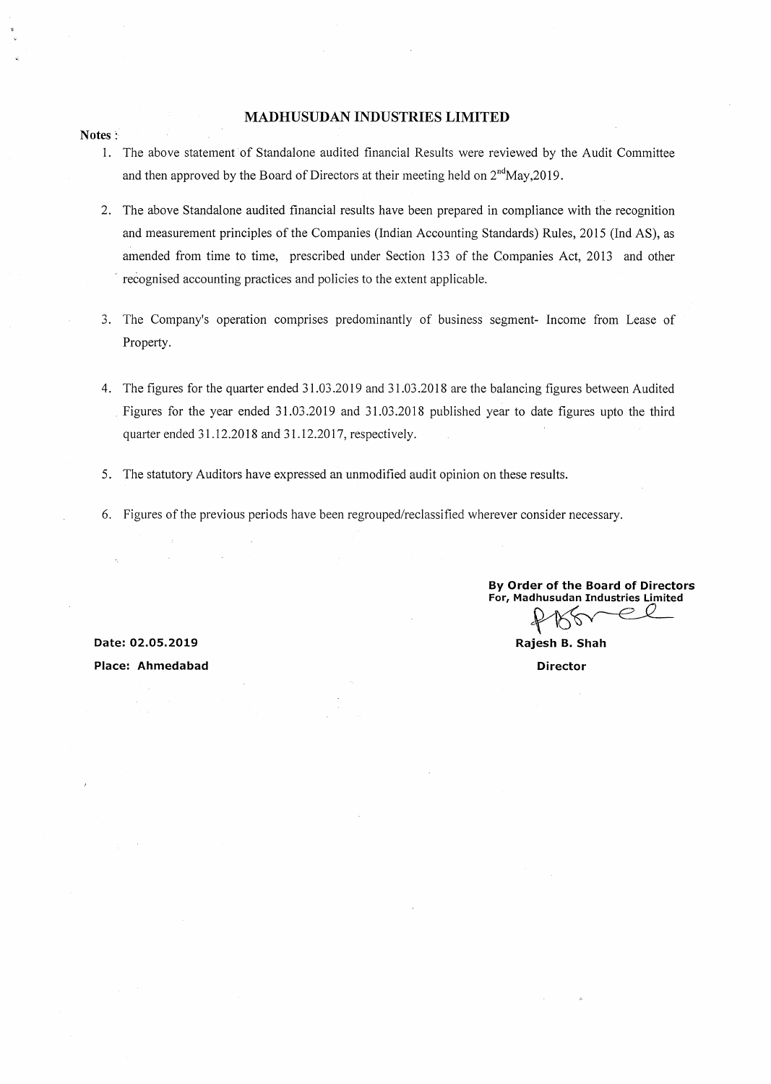## **MADHUSUDAN INDUSTRIES LIMITED**

- 1. The above statement of Standalone audited financial Results were reviewed by the Audit Committee and then approved by the Board of Directors at their meeting held on  $2<sup>nd</sup>$ May,2019.
- 2. The above Standalone audited financial results have been prepared in compliance with the recognition and measurement principles of the Companies (Indian Accounting Standards) Rules, 2015 (Ind AS), as amended from time to time, prescribed under Section 133 of the Companies Act, 2013 and other ' recognised accounting practices and policies to the extent applicable.
- 3. The Company's operation comprises predominantly of business segment- Income from Lease of Property.
- 4. The figures for the quarter ended 31.03.2019 and 31.03.2018 are the balancing figures between Audited Figures for the year ended 31.03.2019 and 31.03.2018 published year to date figures upto the third quarter ended 31.12.2018 and 31.12.2017, respectively.
- 5. The statutory Auditors have expressed an unmodified audit opinion on these results.
- 6. Figures of the previous periods have been regrouped/reclassified wherever consider necessary.

**By Order of the Board of Directors**  For, Madhusudan Industries Limited

R

**Rajesh B. Shah Director** 

**Date: 02.05.2019** 

**Place: Ahmedabad** 

### **Notes:**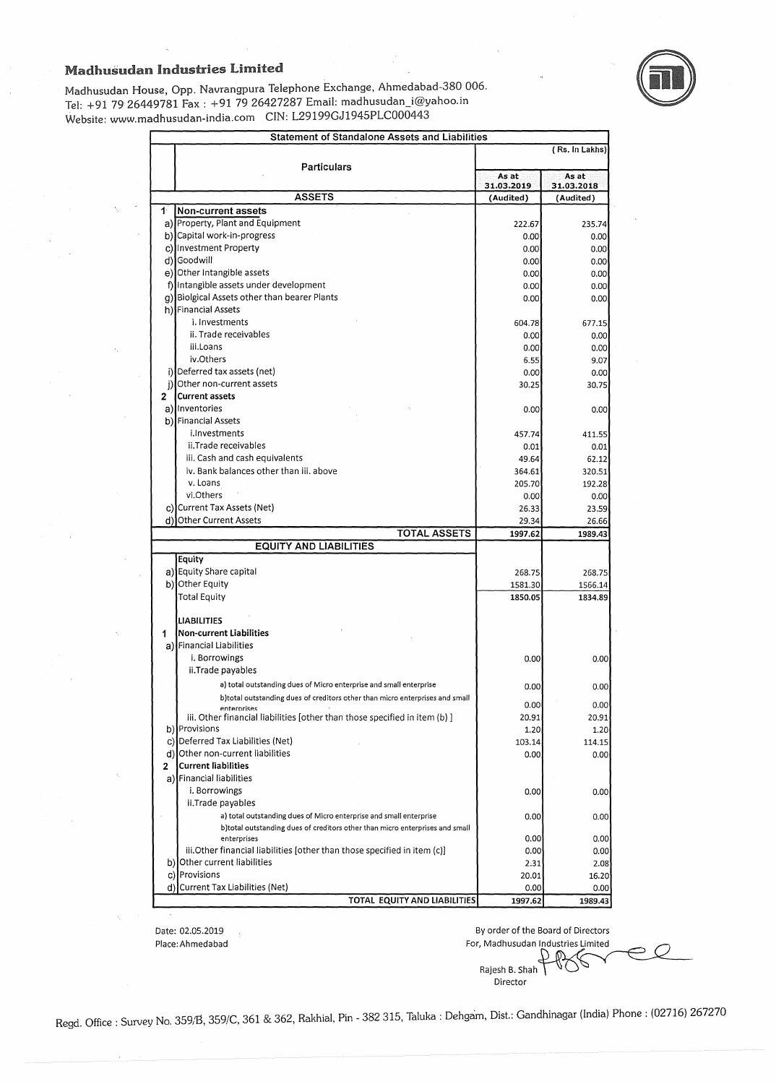

Madhusudan House, Opp. Navrangpura Telephone Exchange, Ahmedabad-380 006. Tel: +91 79 26449781 Fax : +91 79 26427287 Email: madhusudan\_i@yahoo.in Website: www.madhusudan-india.com CIN: L29199GJ1945PLC000443

| <b>Statement of Standalone Assets and Liabilities</b>                                       |                         |                         |  |
|---------------------------------------------------------------------------------------------|-------------------------|-------------------------|--|
| <b>Particulars</b>                                                                          | (Rs. In Lakhs)          |                         |  |
|                                                                                             | As at                   | As at                   |  |
| <b>ASSETS</b>                                                                               | 31.03.2019<br>(Audited) | 31.03.2018<br>(Audited) |  |
| $\mathbf{1}^{\mathbf{1}}$<br>Non-current assets                                             |                         |                         |  |
| a) Property, Plant and Equipment                                                            | 222.67                  | 235.74                  |  |
| b) Capital work-in-progress                                                                 | 0.00                    | 0.00                    |  |
| c) Investment Property                                                                      | 0.00                    | 0.00                    |  |
| d) Goodwill                                                                                 | 0.00                    | 0.00                    |  |
| e) Other Intangible assets                                                                  | 0.00                    | 0.00                    |  |
| f) Intangible assets under development                                                      | 0.00                    | 0.00                    |  |
| g) Biolgical Assets other than bearer Plants                                                | 0.00                    | 0.00                    |  |
| h) Financial Assets                                                                         |                         |                         |  |
| i. Investments                                                                              | 604.78                  | 677.15                  |  |
| ii. Trade receivables                                                                       | 0.00                    | 0.00                    |  |
| iii.Loans                                                                                   | 0.00                    | 0.00                    |  |
| iv.Others                                                                                   | 6.55                    | 9.07                    |  |
| i) Deferred tax assets (net)                                                                | 0.00                    | 0.00                    |  |
| Other non-current assets                                                                    | 30.25                   | 30.75                   |  |
| <b>Current assets</b><br>2                                                                  |                         |                         |  |
| a) Inventories                                                                              | 0.00                    | 0.00                    |  |
| b) Financial Assets                                                                         |                         |                         |  |
| i.Investments                                                                               | 457.74                  | 411.55                  |  |
| ii.Trade receivables                                                                        | 0.01                    | 0.01                    |  |
| iii. Cash and cash equivalents                                                              | 49.64                   | 62.12                   |  |
| iv. Bank balances other than iii, above                                                     | 364.61                  | 320.51                  |  |
| v. Loans                                                                                    | 205.70                  | 192.28                  |  |
| vi.Others                                                                                   | 0.00                    | 0.00                    |  |
| c) Current Tax Assets (Net)                                                                 | 26.33                   | 23.59                   |  |
| d) Other Current Assets                                                                     | 29.34                   | 26.66                   |  |
| <b>TOTAL ASSETS</b><br><b>EQUITY AND LIABILITIES</b>                                        | 1997.62                 | 1989.43                 |  |
| Equity                                                                                      |                         |                         |  |
| a) Equity Share capital                                                                     | 268.75                  | 268.75                  |  |
| b) Other Equity                                                                             | 1581.30                 | 1566.14                 |  |
| <b>Total Equity</b>                                                                         | 1850.05                 | 1834.89                 |  |
|                                                                                             |                         |                         |  |
| <b>LIABILITIES</b>                                                                          |                         |                         |  |
| Non-current Liabilities<br>1                                                                |                         |                         |  |
| a) Financial Liabilities                                                                    |                         |                         |  |
| i. Borrowings                                                                               | 0.00                    | 0.00                    |  |
| ii.Trade payables                                                                           |                         |                         |  |
| a) total outstanding dues of Micro enterprise and small enterprise                          | 0.00                    | 0.00                    |  |
| b)total outstanding dues of creditors other than micro enterprises and small                |                         |                         |  |
| enternrises                                                                                 | 0.00                    | 0.00                    |  |
| iii. Other financial liabilities [other than those specified in item (b) ]<br>b) Provisions | 20.91                   | 20.91                   |  |
| c) Deferred Tax Liabilities (Net)                                                           | 1.20                    | 1.20                    |  |
| d) Other non-current liabilities                                                            | 103.14                  | 114.15                  |  |
| <b>Current liabilities</b><br>2                                                             | 0.00                    | 0.00                    |  |
| a) Financial liabilities                                                                    |                         |                         |  |
| i. Borrowings                                                                               |                         |                         |  |
| ii.Trade payables                                                                           | 0.00                    | 0.00                    |  |
| a) total outstanding dues of Micro enterprise and small enterprise                          | 0.00                    | 0.00                    |  |
| b)total outstanding dues of creditors other than micro enterprises and small                |                         |                         |  |
| enterprises                                                                                 | 0.00                    | 0.00                    |  |
| iii.Other financial liabilities [other than those specified in item (c)]                    | 0.00                    | 0.00                    |  |
| b) Other current liabilities                                                                | 2.31                    | 2.08                    |  |
| c) Provisions                                                                               | 20.01                   | 16.20                   |  |
| d) Current Tax Liabilities (Net)                                                            | 0.00                    | 0.00                    |  |
| TOTAL EQUITY AND LIABILITIES                                                                | 1997.62                 | 1989.43                 |  |

Date: 02.05.2019 Place: Ahmedabad

By order of the Board of Directors For, Madhusudan Industries Limited

Rajesh B. Shah ~\ Director

Regd. Office: Survey No. 359/B, 359/C, 361 & 362, Rakhial, Pin - 382 315, Taluka: Dehgam, Dist.: Gandhinagar (India) Phone: (02716) 267270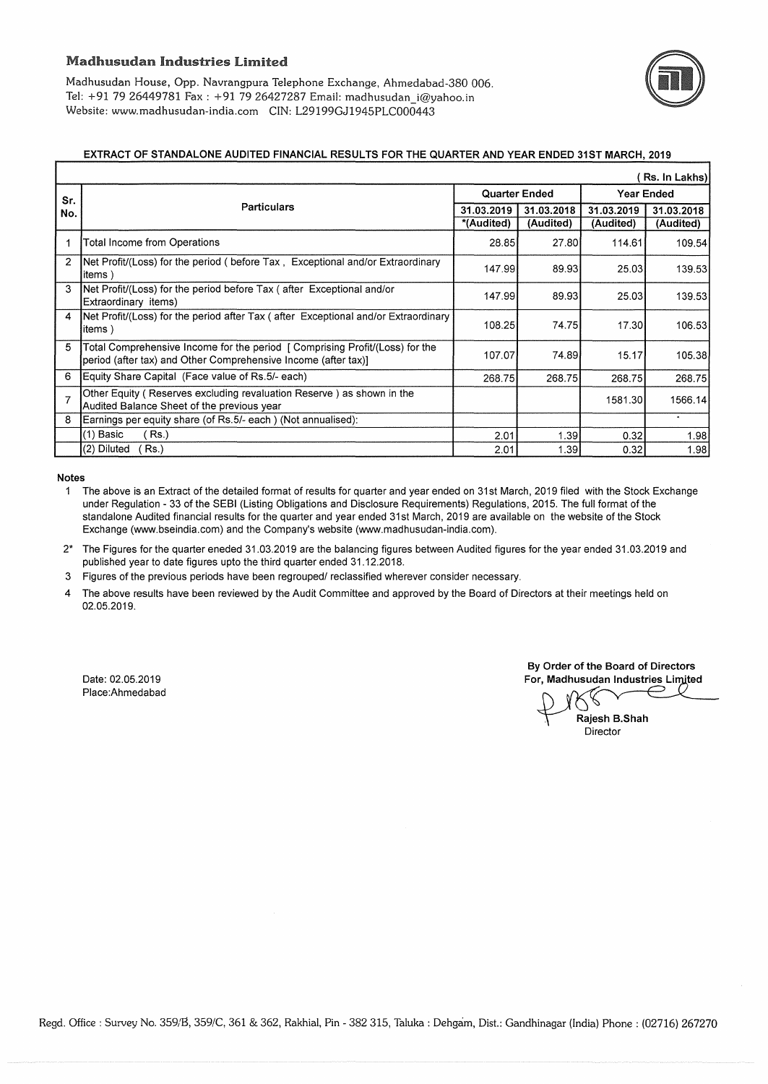Madhusudan House, Opp. Navrangpura Telephone Exchange, Ahmedabad-380 006. Tel: +91 79 26449781 Fax : +91 79 26427287 Email: madhusudan\_i@yahoo.in Website: www.madhusudan-india.com CIN: L29199GJ1945PLC000443

### EXTRACT OF STANDALONE AUDITED FINANCIAL RESULTS FOR THE QUARTER AND YEAR ENDED 31ST MARCH, 2019

| Rs. In Lakhs)  |                                                                                                                                               |                      |            |                   |            |  |  |  |  |
|----------------|-----------------------------------------------------------------------------------------------------------------------------------------------|----------------------|------------|-------------------|------------|--|--|--|--|
| Sr.<br>No.     |                                                                                                                                               | <b>Quarter Ended</b> |            | <b>Year Ended</b> |            |  |  |  |  |
|                | <b>Particulars</b>                                                                                                                            |                      | 31.03.2018 | 31.03.2019        | 31.03.2018 |  |  |  |  |
|                |                                                                                                                                               |                      | (Audited)  | (Audited)         | (Audited)  |  |  |  |  |
|                | Total Income from Operations                                                                                                                  | 28.85                | 27.80      | 114.61            | 109.54     |  |  |  |  |
|                | <b>Net Profit/(Loss) for the period ( before Tax, Exceptional and/or Extraordinary</b><br>litems)                                             | 147.99               | 89.93      | 25.03             | 139.53     |  |  |  |  |
|                | <b>Net Profit/(Loss) for the period before Tax ( after Exceptional and/or</b><br>Extraordinary items)                                         | 147.99               | 89.93      | 25.03             | 139.53     |  |  |  |  |
| 4              | Net Profit/(Loss) for the period after Tax (after Exceptional and/or Extraordinary<br> items)                                                 | 108.25               | 74.75      | 17.30             | 106.53     |  |  |  |  |
| 5              | Total Comprehensive Income for the period [Comprising Profit/(Loss) for the<br>period (after tax) and Other Comprehensive Income (after tax)] | 107.07               | 74.89      | 15.17             | 105.38     |  |  |  |  |
| 6              | Equity Share Capital (Face value of Rs.5/- each)                                                                                              | 268.75               | 268.75     | 268.75            | 268.75     |  |  |  |  |
| $\overline{7}$ | Other Equity (Reserves excluding revaluation Reserve) as shown in the<br>Audited Balance Sheet of the previous year                           |                      |            | 1581.30           | 1566.14    |  |  |  |  |
| 8              | Earnings per equity share (of Rs.5/- each) (Not annualised):                                                                                  |                      |            |                   |            |  |  |  |  |
|                | (Rs.)<br>$(1)$ Basic                                                                                                                          | 2.01                 | 1.39       | 0.32              | 1.98       |  |  |  |  |
|                | (2) Diluted<br>Rs.                                                                                                                            | 2.01                 | 1.39       | 0.32              | 1.98       |  |  |  |  |

Notes

1 The above is an Extract of the detailed format of results for quarter and year ended on 31st March, 2019 filed with the Stock Exchange under Regulation - 33 of the SEBI (Listing Obligations and Disclosure Requirements) Regulations, 2015. The full format of the standalone Audited financial results for the quarter and year ended 31st March, 2019 are available on the website of the Stock Exchange (www.bseindia.com) and the Company's website (www.madhusudan-india.com).

2\* The Figures for the quarter eneded 31.03.2019 are the balancing figures between Audited figures for the year ended 31.03.2019 and published year to date figures upto the third quarter ended 31.12.2018.

- 3 Figures of the previous periods have been regrouped/ reclassified wherever consider necessary.
- 4 The above results have been reviewed by the Audit Committee and approved by the Board of Directors at their meetings held on 02.05.2019.

Date: 02.05.2019 Place:Ahmedabad

By Order of the Board of Directors For, Madhusudan Industries Limited

Rajesh B.Shah Director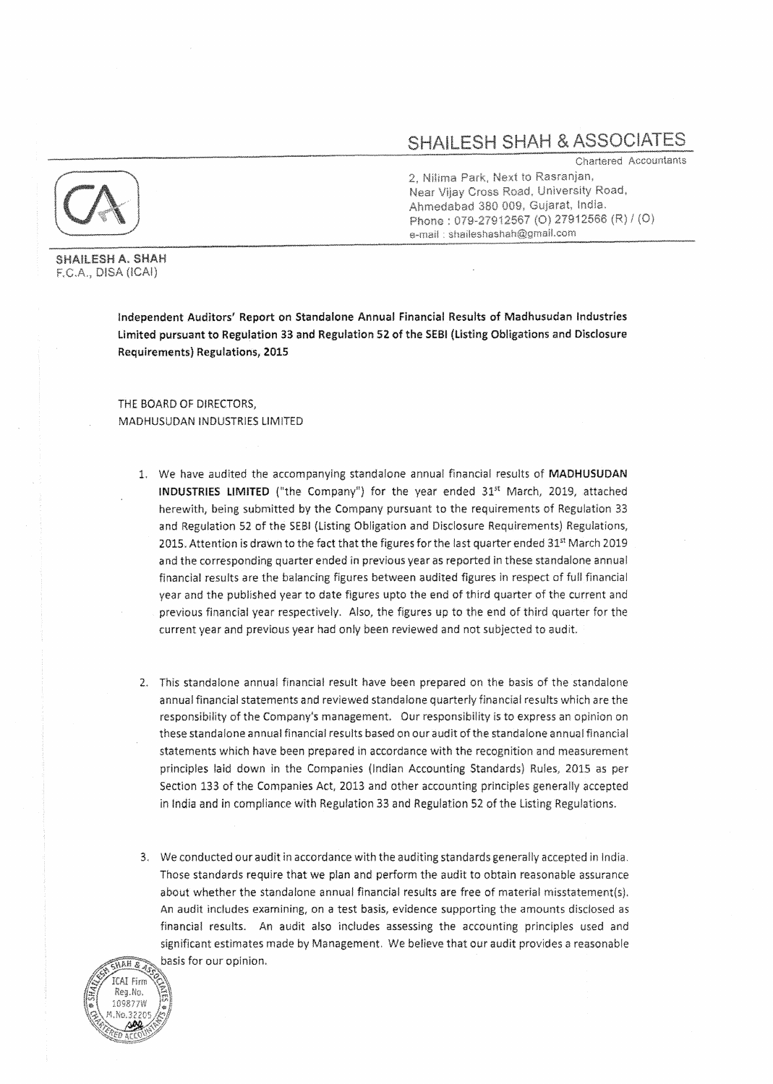# SHAILESH SHAH & ASSOCIATES

Chartered Accountants 2, Nilima Park, Next to Rasranjan, Near Vijay Cross Road, University Road, Ahmedabad 380 009, Gujarat, India. Phone: 079-27912567 (O) 27912566 (R) / (O) e-mail: shaileshashah@gmail.com

**SHAILESH A. SHAH** F.C.A., DISA (ICAI)

> Independent Auditors' Report on Standalone Annual Financial Results of Madhusudan Industries Limited pursuant to Regulation 33 and Regulation 52 of the SEB! (Listing Obligations and Disclosure Requirements) Regulations, 2015

THE BOARD OF DIRECTORS, MADHUSUDAN INDUSTRIES UM!TED

- 1. We have audited the accompanying standalone annual financial results of MADHUSUDAN **INDUSTRIES LIMITED** ("the Company") for the year ended  $31<sup>st</sup>$  March, 2019, attached herewith, being submitted by the Company pursuant to the requirements of Regulation 33 and Regulation 52 of the SEBl (Listing Obligation and Disclosure Requirements) Regulations, 2015. Attention is drawn to the fact that the figures for the last quarter ended 31<sup>st</sup> March 2019 and the corresponding quarter ended in previous year as reported in these standalone annual financial results are the balancing figures between audited figures in respect of full financial year and the published year to date figures upto the end of third quarter of the current and previous financial year respectively. Also, the figures up to the end of third quarter for the current year and previous year had only been reviewed and not subjected to audit.
- 2. This standalone annual financial result have been prepared on the basis of the standalone annual financial statements and reviewed standalone quarterly financial results which are the responsibility of the Company's management. Our responsibility is to express an opinion on these standalone annual financial results based on our audit of the standalone annual financial statements which have been prepared in accordance with the recognition and measurement principles laid down in the Companies (Indian Accounting Standards) Rules, 2015 as per Section 133 of the Companies Act, 2013 and other accounting principles generally accepted in India and in compliance with Regulation 33 and Regulation 52 of the Listing Regulations.
- 3. We conducted our audit in accordance with the auditing standards generally accepted ln India. Those standards require that we plan and perform the audit to obtaln reasonable assurance about whether the standalone annual financial results are free of material misstatement{s). An audit includes examining, on a test basis, evidence supporting the amounts disclosed as financial results. An audit also includes assessing the accounting principles used and significant estimates made by Management. We believe that our audit provides a reasonable basis for our opinion.

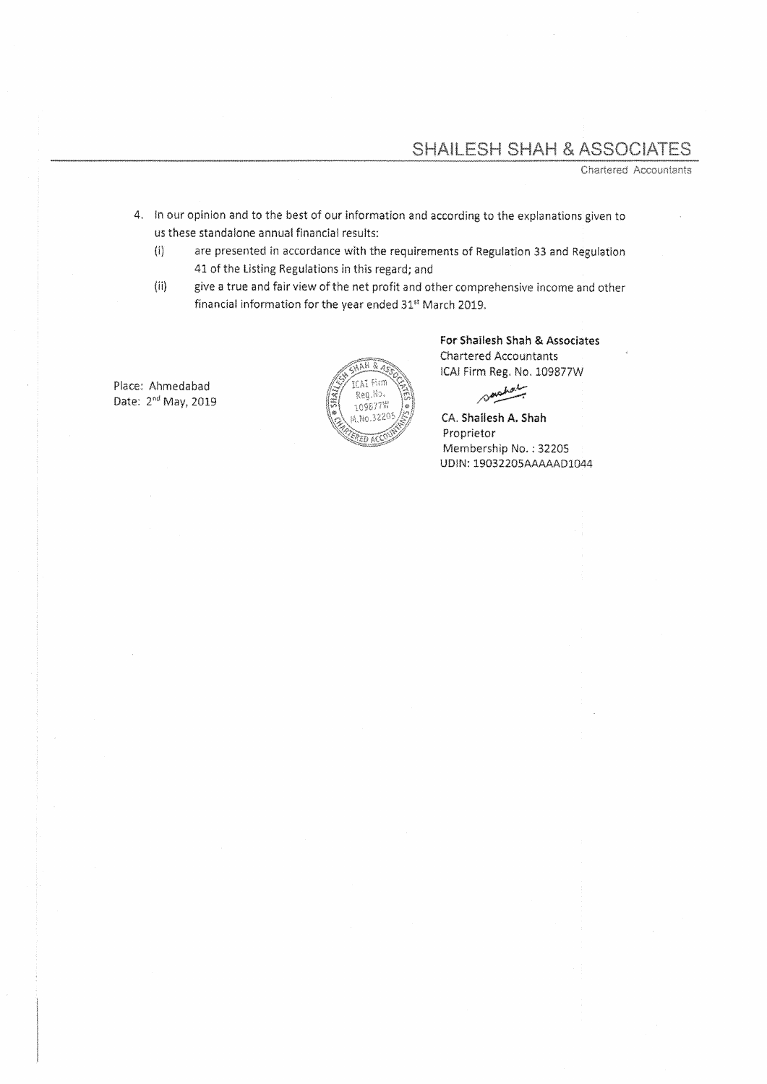## SHAILESH SHAH & ASSOCIATES

Chartered Accountants

- 4. In our opinion and to the best of our information and according to the explanations given to us these standalone annual financial results:
	- {i) are presented in accordance with the requirements of Regulation 33 and Regulation 41 of the Listing Regulations in this regard; and
	- (ii) give a true and fair view of the net profit and other comprehensive income and other financial information for the year ended 31<sup>st</sup> March 2019.

Place: Ahrnedabad Date: 2<sup>nd</sup> May, 2019



For Shailesh Shah & Associates Chartered Accountants !CA! Firm Reg, No, 109877W

spokely

CA, Shailesh A. Shah Proprietor Membership No.: 32205 UD!N: 19032205AAAAAD1044